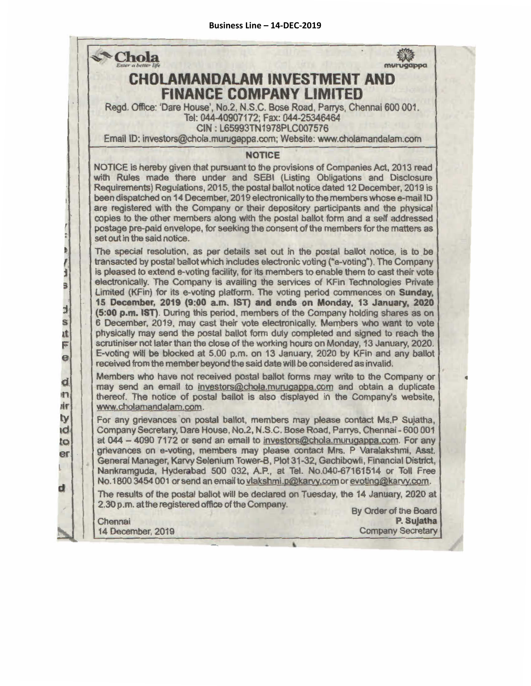